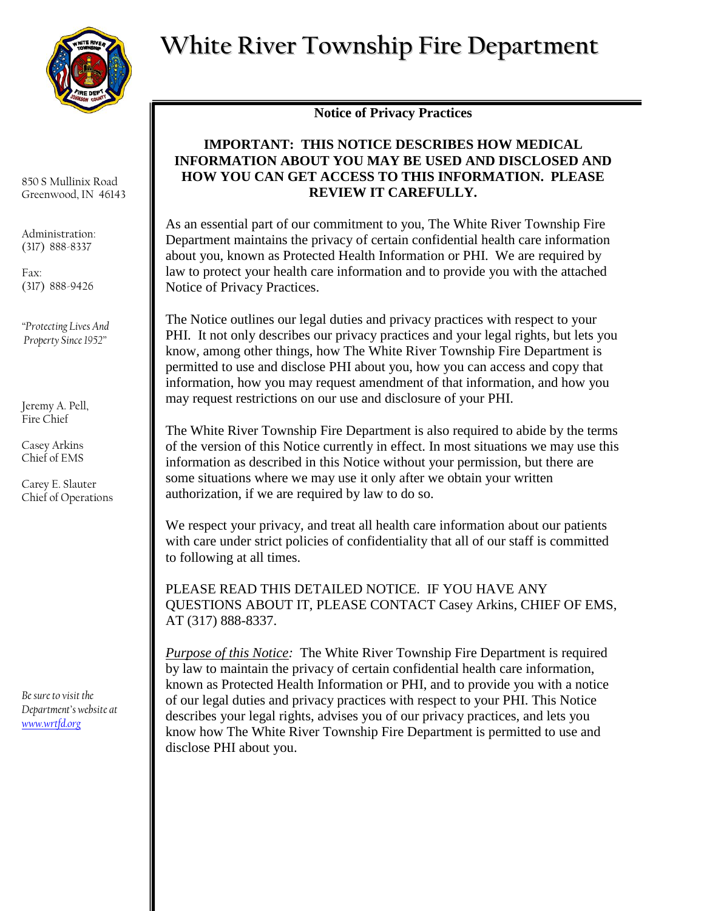

850 S Mullinix Road Greenwood, IN 46143

Administration: (317) 888-8337

Fax: (317) 888-9426

*"Protecting Lives And Property Since 1952"*

Jeremy A. Pell, Fire Chief

Casey Arkins Chief of EMS

Carey E. Slauter Chief of Operations

*Be sure to visit the Department's website at [www.wrtfd.org](http://www.wrtfd.org/)*

# **White River Township Fire Department**

**Notice of Privacy Practices** 

#### **IMPORTANT: THIS NOTICE DESCRIBES HOW MEDICAL INFORMATION ABOUT YOU MAY BE USED AND DISCLOSED AND HOW YOU CAN GET ACCESS TO THIS INFORMATION. PLEASE REVIEW IT CAREFULLY.**

As an essential part of our commitment to you, The White River Township Fire Department maintains the privacy of certain confidential health care information about you, known as Protected Health Information or PHI. We are required by law to protect your health care information and to provide you with the attached Notice of Privacy Practices.

The Notice outlines our legal duties and privacy practices with respect to your PHI. It not only describes our privacy practices and your legal rights, but lets you know, among other things, how The White River Township Fire Department is permitted to use and disclose PHI about you, how you can access and copy that information, how you may request amendment of that information, and how you may request restrictions on our use and disclosure of your PHI.

The White River Township Fire Department is also required to abide by the terms of the version of this Notice currently in effect. In most situations we may use this information as described in this Notice without your permission, but there are some situations where we may use it only after we obtain your written authorization, if we are required by law to do so.

We respect your privacy, and treat all health care information about our patients with care under strict policies of confidentiality that all of our staff is committed to following at all times.

PLEASE READ THIS DETAILED NOTICE. IF YOU HAVE ANY QUESTIONS ABOUT IT, PLEASE CONTACT Casey Arkins, CHIEF OF EMS, AT (317) 888-8337.

*Purpose of this Notice:* The White River Township Fire Department is required by law to maintain the privacy of certain confidential health care information, known as Protected Health Information or PHI, and to provide you with a notice of our legal duties and privacy practices with respect to your PHI. This Notice describes your legal rights, advises you of our privacy practices, and lets you know how The White River Township Fire Department is permitted to use and disclose PHI about you.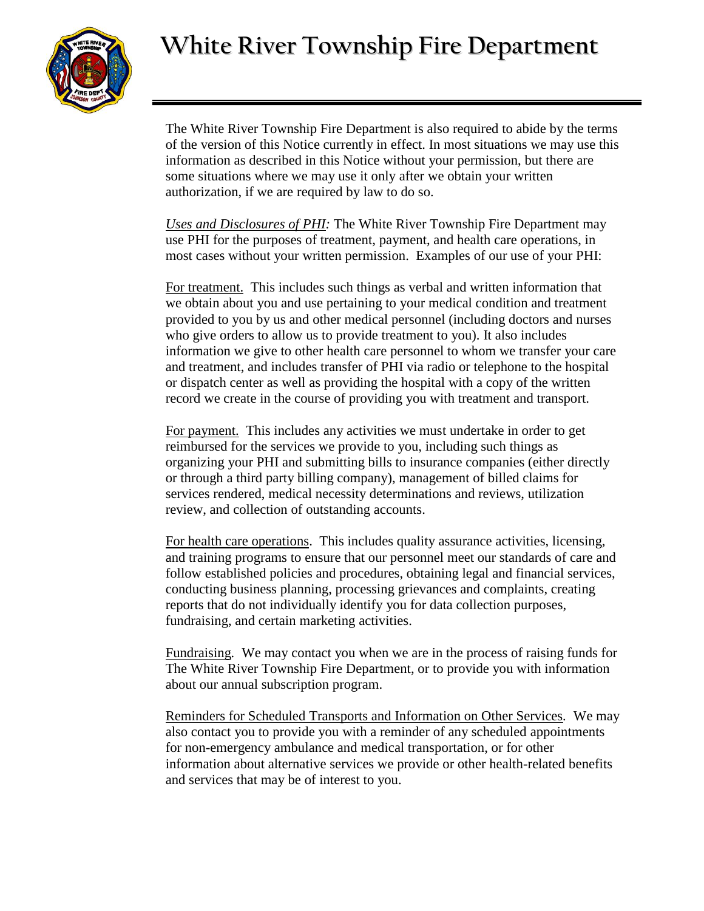

The White River Township Fire Department is also required to abide by the terms of the version of this Notice currently in effect. In most situations we may use this information as described in this Notice without your permission, but there are some situations where we may use it only after we obtain your written authorization, if we are required by law to do so.

*Uses and Disclosures of PHI:* The White River Township Fire Department may use PHI for the purposes of treatment, payment, and health care operations, in most cases without your written permission. Examples of our use of your PHI:

For treatment. This includes such things as verbal and written information that we obtain about you and use pertaining to your medical condition and treatment provided to you by us and other medical personnel (including doctors and nurses who give orders to allow us to provide treatment to you). It also includes information we give to other health care personnel to whom we transfer your care and treatment, and includes transfer of PHI via radio or telephone to the hospital or dispatch center as well as providing the hospital with a copy of the written record we create in the course of providing you with treatment and transport.

For payment. This includes any activities we must undertake in order to get reimbursed for the services we provide to you, including such things as organizing your PHI and submitting bills to insurance companies (either directly or through a third party billing company), management of billed claims for services rendered, medical necessity determinations and reviews, utilization review, and collection of outstanding accounts.

For health care operations. This includes quality assurance activities, licensing, and training programs to ensure that our personnel meet our standards of care and follow established policies and procedures, obtaining legal and financial services, conducting business planning, processing grievances and complaints, creating reports that do not individually identify you for data collection purposes, fundraising, and certain marketing activities.

Fundraising*.* We may contact you when we are in the process of raising funds for The White River Township Fire Department, or to provide you with information about our annual subscription program.

Reminders for Scheduled Transports and Information on Other Services*.* We may also contact you to provide you with a reminder of any scheduled appointments for non-emergency ambulance and medical transportation, or for other information about alternative services we provide or other health-related benefits and services that may be of interest to you.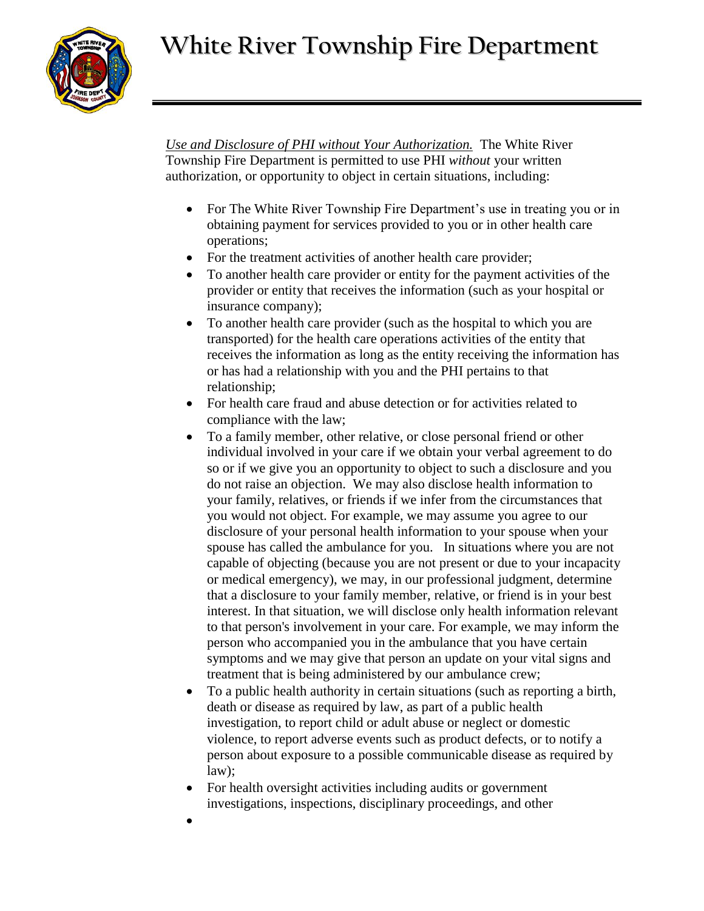

*Use and Disclosure of PHI without Your Authorization.* The White River Township Fire Department is permitted to use PHI *without* your written authorization, or opportunity to object in certain situations, including:

- For The White River Township Fire Department's use in treating you or in obtaining payment for services provided to you or in other health care operations;
- For the treatment activities of another health care provider;
- To another health care provider or entity for the payment activities of the provider or entity that receives the information (such as your hospital or insurance company);
- To another health care provider (such as the hospital to which you are transported) for the health care operations activities of the entity that receives the information as long as the entity receiving the information has or has had a relationship with you and the PHI pertains to that relationship;
- For health care fraud and abuse detection or for activities related to compliance with the law;
- To a family member, other relative, or close personal friend or other individual involved in your care if we obtain your verbal agreement to do so or if we give you an opportunity to object to such a disclosure and you do not raise an objection. We may also disclose health information to your family, relatives, or friends if we infer from the circumstances that you would not object. For example, we may assume you agree to our disclosure of your personal health information to your spouse when your spouse has called the ambulance for you. In situations where you are not capable of objecting (because you are not present or due to your incapacity or medical emergency), we may, in our professional judgment, determine that a disclosure to your family member, relative, or friend is in your best interest. In that situation, we will disclose only health information relevant to that person's involvement in your care. For example, we may inform the person who accompanied you in the ambulance that you have certain symptoms and we may give that person an update on your vital signs and treatment that is being administered by our ambulance crew;
- To a public health authority in certain situations (such as reporting a birth, death or disease as required by law, as part of a public health investigation, to report child or adult abuse or neglect or domestic violence, to report adverse events such as product defects, or to notify a person about exposure to a possible communicable disease as required by law);
- For health oversight activities including audits or government investigations, inspections, disciplinary proceedings, and other
- $\bullet$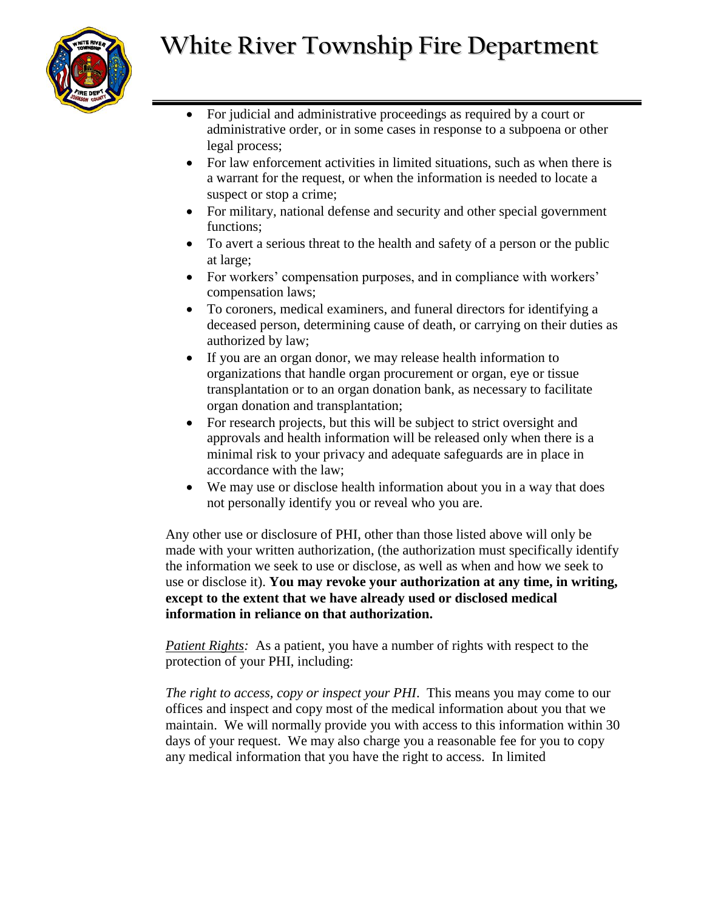

- For judicial and administrative proceedings as required by a court or administrative order, or in some cases in response to a subpoena or other legal process;
- For law enforcement activities in limited situations, such as when there is a warrant for the request, or when the information is needed to locate a suspect or stop a crime;
- For military, national defense and security and other special government functions;
- To avert a serious threat to the health and safety of a person or the public at large;
- For workers' compensation purposes, and in compliance with workers' compensation laws;
- To coroners, medical examiners, and funeral directors for identifying a deceased person, determining cause of death, or carrying on their duties as authorized by law;
- If you are an organ donor, we may release health information to organizations that handle organ procurement or organ, eye or tissue transplantation or to an organ donation bank, as necessary to facilitate organ donation and transplantation;
- For research projects, but this will be subject to strict oversight and approvals and health information will be released only when there is a minimal risk to your privacy and adequate safeguards are in place in accordance with the law;
- We may use or disclose health information about you in a way that does not personally identify you or reveal who you are.

Any other use or disclosure of PHI, other than those listed above will only be made with your written authorization, (the authorization must specifically identify the information we seek to use or disclose, as well as when and how we seek to use or disclose it). **You may revoke your authorization at any time, in writing, except to the extent that we have already used or disclosed medical information in reliance on that authorization.**

*Patient Rights:* As a patient, you have a number of rights with respect to the protection of your PHI, including:

*The right to access, copy or inspect your PHI*. This means you may come to our offices and inspect and copy most of the medical information about you that we maintain. We will normally provide you with access to this information within 30 days of your request. We may also charge you a reasonable fee for you to copy any medical information that you have the right to access. In limited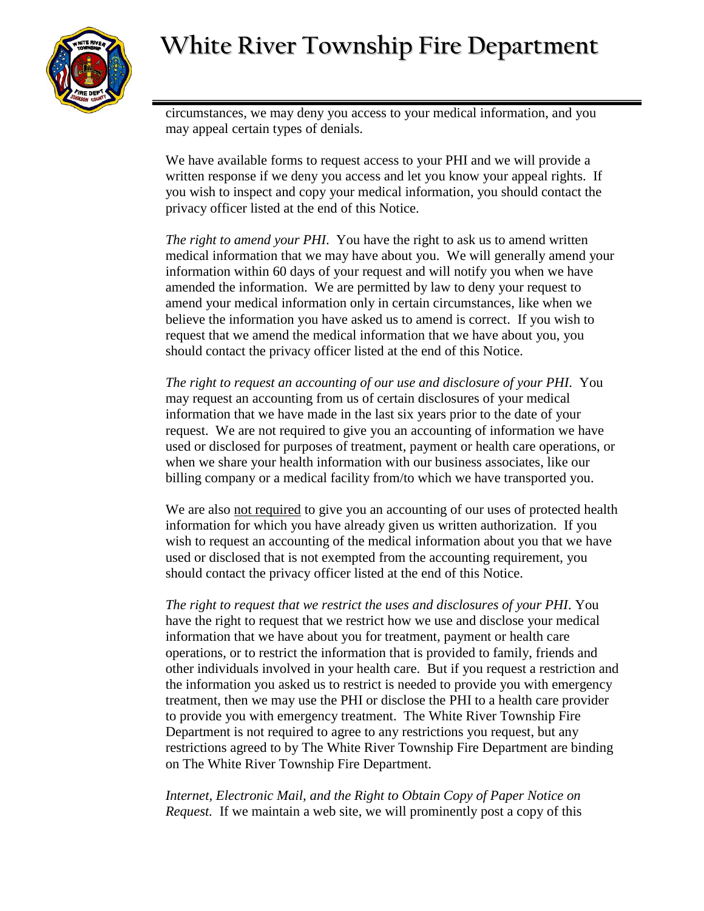

circumstances, we may deny you access to your medical information, and you may appeal certain types of denials.

We have available forms to request access to your PHI and we will provide a written response if we deny you access and let you know your appeal rights. If you wish to inspect and copy your medical information, you should contact the privacy officer listed at the end of this Notice.

*The right to amend your PHI*. You have the right to ask us to amend written medical information that we may have about you. We will generally amend your information within 60 days of your request and will notify you when we have amended the information. We are permitted by law to deny your request to amend your medical information only in certain circumstances, like when we believe the information you have asked us to amend is correct. If you wish to request that we amend the medical information that we have about you, you should contact the privacy officer listed at the end of this Notice.

*The right to request an accounting of our use and disclosure of your PHI*. You may request an accounting from us of certain disclosures of your medical information that we have made in the last six years prior to the date of your request. We are not required to give you an accounting of information we have used or disclosed for purposes of treatment, payment or health care operations, or when we share your health information with our business associates, like our billing company or a medical facility from/to which we have transported you.

We are also not required to give you an accounting of our uses of protected health information for which you have already given us written authorization. If you wish to request an accounting of the medical information about you that we have used or disclosed that is not exempted from the accounting requirement, you should contact the privacy officer listed at the end of this Notice.

*The right to request that we restrict the uses and disclosures of your PHI*. You have the right to request that we restrict how we use and disclose your medical information that we have about you for treatment, payment or health care operations, or to restrict the information that is provided to family, friends and other individuals involved in your health care. But if you request a restriction and the information you asked us to restrict is needed to provide you with emergency treatment, then we may use the PHI or disclose the PHI to a health care provider to provide you with emergency treatment. The White River Township Fire Department is not required to agree to any restrictions you request, but any restrictions agreed to by The White River Township Fire Department are binding on The White River Township Fire Department.

*Internet, Electronic Mail, and the Right to Obtain Copy of Paper Notice on Request.* If we maintain a web site, we will prominently post a copy of this